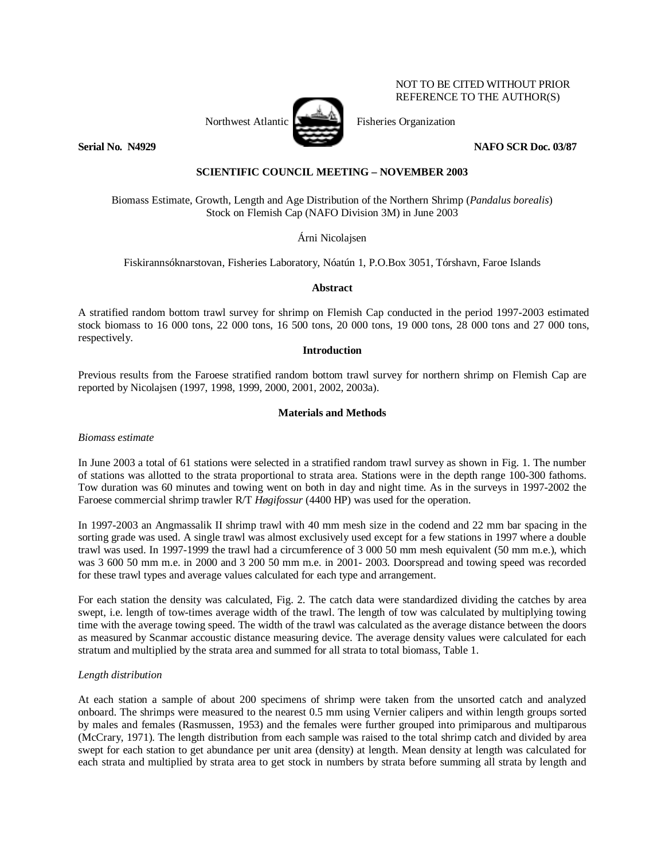

NOT TO BE CITED WITHOUT PRIOR REFERENCE TO THE AUTHOR(S)

**Serial No. N4929 NAFO SCR Doc. 03/87** 

# **SCIENTIFIC COUNCIL MEETING – NOVEMBER 2003**

Biomass Estimate, Growth, Length and Age Distribution of the Northern Shrimp (*Pandalus borealis*) Stock on Flemish Cap (NAFO Division 3M) in June 2003

Árni Nicolajsen

Fiskirannsóknarstovan, Fisheries Laboratory, Nóatún 1, P.O.Box 3051, Tórshavn, Faroe Islands

**Abstract** 

A stratified random bottom trawl survey for shrimp on Flemish Cap conducted in the period 1997-2003 estimated stock biomass to 16 000 tons, 22 000 tons, 16 500 tons, 20 000 tons, 19 000 tons, 28 000 tons and 27 000 tons, respectively.

### **Introduction**

Previous results from the Faroese stratified random bottom trawl survey for northern shrimp on Flemish Cap are reported by Nicolajsen (1997, 1998, 1999, 2000, 2001, 2002, 2003a).

## **Materials and Methods**

*Biomass estimate* 

In June 2003 a total of 61 stations were selected in a stratified random trawl survey as shown in Fig. 1. The number of stations was allotted to the strata proportional to strata area. Stations were in the depth range 100-300 fathoms. Tow duration was 60 minutes and towing went on both in day and night time. As in the surveys in 1997-2002 the Faroese commercial shrimp trawler R/T *Høgifossur* (4400 HP) was used for the operation.

In 1997-2003 an Angmassalik II shrimp trawl with 40 mm mesh size in the codend and 22 mm bar spacing in the sorting grade was used. A single trawl was almost exclusively used except for a few stations in 1997 where a double trawl was used. In 1997-1999 the trawl had a circumference of 3 000 50 mm mesh equivalent (50 mm m.e.), which was 3 600 50 mm m.e. in 2000 and 3 200 50 mm m.e. in 2001- 2003. Doorspread and towing speed was recorded for these trawl types and average values calculated for each type and arrangement.

For each station the density was calculated, Fig. 2. The catch data were standardized dividing the catches by area swept, i.e. length of tow-times average width of the trawl. The length of tow was calculated by multiplying towing time with the average towing speed. The width of the trawl was calculated as the average distance between the doors as measured by Scanmar accoustic distance measuring device. The average density values were calculated for each stratum and multiplied by the strata area and summed for all strata to total biomass, Table 1.

# *Length distribution*

At each station a sample of about 200 specimens of shrimp were taken from the unsorted catch and analyzed onboard. The shrimps were measured to the nearest 0.5 mm using Vernier calipers and within length groups sorted by males and females (Rasmussen, 1953) and the females were further grouped into primiparous and multiparous (McCrary, 1971). The length distribution from each sample was raised to the total shrimp catch and divided by area swept for each station to get abundance per unit area (density) at length. Mean density at length was calculated for each strata and multiplied by strata area to get stock in numbers by strata before summing all strata by length and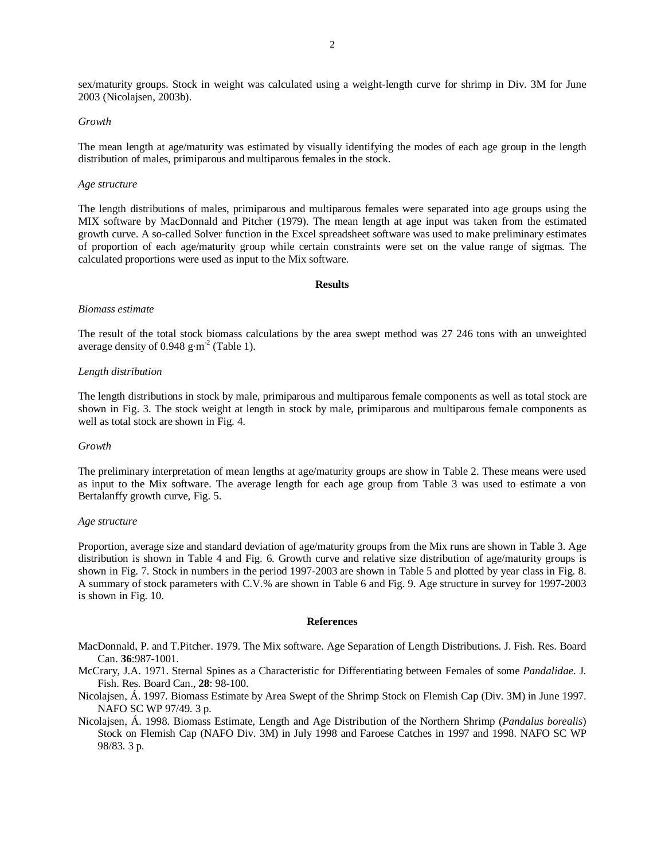sex/maturity groups. Stock in weight was calculated using a weight-length curve for shrimp in Div. 3M for June 2003 (Nicolajsen, 2003b).

#### *Growth*

The mean length at age/maturity was estimated by visually identifying the modes of each age group in the length distribution of males, primiparous and multiparous females in the stock.

### *Age structure*

The length distributions of males, primiparous and multiparous females were separated into age groups using the MIX software by MacDonnald and Pitcher (1979). The mean length at age input was taken from the estimated growth curve. A so-called Solver function in the Excel spreadsheet software was used to make preliminary estimates of proportion of each age/maturity group while certain constraints were set on the value range of sigmas. The calculated proportions were used as input to the Mix software.

#### **Results**

#### *Biomass estimate*

The result of the total stock biomass calculations by the area swept method was 27 246 tons with an unweighted average density of 0.948 g·m<sup>-2</sup> (Table 1).

### *Length distribution*

The length distributions in stock by male, primiparous and multiparous female components as well as total stock are shown in Fig. 3. The stock weight at length in stock by male, primiparous and multiparous female components as well as total stock are shown in Fig. 4.

#### *Growth*

The preliminary interpretation of mean lengths at age/maturity groups are show in Table 2. These means were used as input to the Mix software. The average length for each age group from Table 3 was used to estimate a von Bertalanffy growth curve, Fig. 5.

#### *Age structure*

Proportion, average size and standard deviation of age/maturity groups from the Mix runs are shown in Table 3. Age distribution is shown in Table 4 and Fig. 6. Growth curve and relative size distribution of age/maturity groups is shown in Fig. 7. Stock in numbers in the period 1997-2003 are shown in Table 5 and plotted by year class in Fig. 8. A summary of stock parameters with C.V.% are shown in Table 6 and Fig. 9. Age structure in survey for 1997-2003 is shown in Fig. 10.

#### **References**

- MacDonnald, P. and T.Pitcher. 1979. The Mix software. Age Separation of Length Distributions. J. Fish. Res. Board Can. **36**:987-1001.
- McCrary, J.A. 1971. Sternal Spines as a Characteristic for Differentiating between Females of some *Pandalidae*. J. Fish. Res. Board Can., **28**: 98-100.
- Nicolajsen, Á. 1997. Biomass Estimate by Area Swept of the Shrimp Stock on Flemish Cap (Div. 3M) in June 1997. NAFO SC WP 97/49. 3 p.
- Nicolajsen, Á. 1998. Biomass Estimate, Length and Age Distribution of the Northern Shrimp (*Pandalus borealis*) Stock on Flemish Cap (NAFO Div. 3M) in July 1998 and Faroese Catches in 1997 and 1998. NAFO SC WP 98/83. 3 p.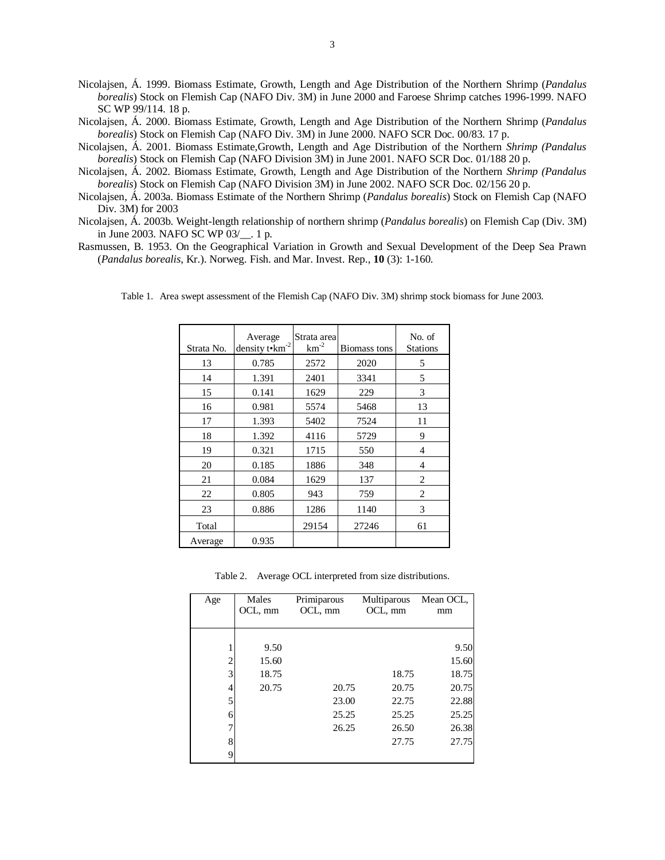- Nicolajsen, Á. 1999. Biomass Estimate, Growth, Length and Age Distribution of the Northern Shrimp (*Pandalus borealis*) Stock on Flemish Cap (NAFO Div. 3M) in June 2000 and Faroese Shrimp catches 1996-1999. NAFO SC WP 99/114. 18 p.
- Nicolajsen, Á. 2000. Biomass Estimate, Growth, Length and Age Distribution of the Northern Shrimp (*Pandalus borealis*) Stock on Flemish Cap (NAFO Div. 3M) in June 2000. NAFO SCR Doc. 00/83. 17 p.
- Nicolajsen, Á. 2001. Biomass Estimate,Growth, Length and Age Distribution of the Northern *Shrimp (Pandalus borealis*) Stock on Flemish Cap (NAFO Division 3M) in June 2001. NAFO SCR Doc. 01/188 20 p.
- Nicolajsen, Á. 2002. Biomass Estimate, Growth, Length and Age Distribution of the Northern *Shrimp (Pandalus borealis*) Stock on Flemish Cap (NAFO Division 3M) in June 2002. NAFO SCR Doc. 02/156 20 p.
- Nicolajsen, Á. 2003a. Biomass Estimate of the Northern Shrimp (*Pandalus borealis*) Stock on Flemish Cap (NAFO Div. 3M) for 2003
- Nicolajsen, Á. 2003b. Weight-length relationship of northern shrimp (*Pandalus borealis*) on Flemish Cap (Div. 3M) in June 2003. NAFO SC WP 03/ . 1 p.
- Rasmussen, B. 1953. On the Geographical Variation in Growth and Sexual Development of the Deep Sea Prawn (*Pandalus borealis*, Kr.). Norweg. Fish. and Mar. Invest. Rep., **10** (3): 1-160.

| Strata No. | Average<br>density t•km <sup>-2</sup> | Strata area<br>$km^{-2}$ | Biomass tons | No. of<br><b>Stations</b> |
|------------|---------------------------------------|--------------------------|--------------|---------------------------|
| 13         | 0.785                                 | 2572                     | 2020         | 5                         |
| 14         | 1.391                                 | 2401                     | 3341         | 5                         |
| 15         | 0.141                                 | 1629                     | 229          | 3                         |
| 16         | 0.981                                 | 5574                     | 5468         | 13                        |
| 17         | 1.393                                 | 5402                     | 7524         | 11                        |
| 18         | 1.392                                 | 4116                     | 5729         | 9                         |
| 19         | 0.321                                 | 1715                     | 550          | 4                         |
| 20         | 0.185                                 | 1886                     | 348          | 4                         |
| 21         | 0.084                                 | 1629                     | 137          | $\overline{2}$            |
| 22         | 0.805                                 | 943                      | 759          | $\mathfrak{D}$            |
| 23         | 0.886                                 | 1286                     | 1140         | 3                         |
| Total      |                                       | 29154                    | 27246        | 61                        |
| Average    | 0.935                                 |                          |              |                           |

Table 1. Area swept assessment of the Flemish Cap (NAFO Div. 3M) shrimp stock biomass for June 2003.

Table 2.Average OCL interpreted from size distributions.

| Age            | Males<br>OCL, mm | Primiparous<br>OCL, mm | Multiparous<br>OCL, mm | Mean OCL,<br>mm |
|----------------|------------------|------------------------|------------------------|-----------------|
|                |                  |                        |                        |                 |
|                | 9.50             |                        |                        | 9.50            |
| $\overline{c}$ | 15.60            |                        |                        | 15.60           |
| 3              | 18.75            |                        | 18.75                  | 18.75           |
| 4              | 20.75            | 20.75                  | 20.75                  | 20.75           |
| 5              |                  | 23.00                  | 22.75                  | 22.88           |
| 6              |                  | 25.25                  | 25.25                  | 25.25           |
|                |                  | 26.25                  | 26.50                  | 26.38           |
| 8              |                  |                        | 27.75                  | 27.75           |
| 9              |                  |                        |                        |                 |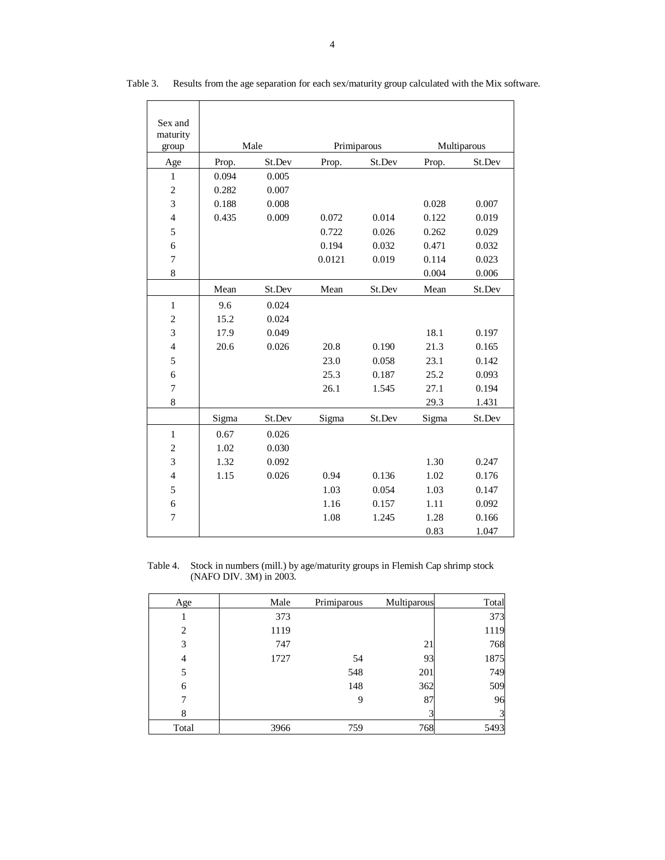| Sex and                  |       |        |        |             |             |        |  |
|--------------------------|-------|--------|--------|-------------|-------------|--------|--|
| maturity                 |       |        |        |             |             |        |  |
| group                    | Male  |        |        | Primiparous | Multiparous |        |  |
| Age                      | Prop. | St.Dev | Prop.  | St.Dev      | Prop.       | St.Dev |  |
| $\,1\,$                  | 0.094 | 0.005  |        |             |             |        |  |
| $\mathbf{2}$             | 0.282 | 0.007  |        |             |             |        |  |
| 3                        | 0.188 | 0.008  |        |             | 0.028       | 0.007  |  |
| $\overline{4}$           | 0.435 | 0.009  | 0.072  | 0.014       | 0.122       | 0.019  |  |
| 5                        |       |        | 0.722  | 0.026       | 0.262       | 0.029  |  |
| 6                        |       |        | 0.194  | 0.032       | 0.471       | 0.032  |  |
| $\boldsymbol{7}$         |       |        | 0.0121 | 0.019       | 0.114       | 0.023  |  |
| 8                        |       |        |        |             | 0.004       | 0.006  |  |
|                          | Mean  | St.Dev | Mean   | St.Dev      | Mean        | St.Dev |  |
| $\mathbf{1}$             | 9.6   | 0.024  |        |             |             |        |  |
| $\boldsymbol{2}$         | 15.2  | 0.024  |        |             |             |        |  |
| 3                        | 17.9  | 0.049  |        |             | 18.1        | 0.197  |  |
| $\overline{4}$           | 20.6  | 0.026  | 20.8   | 0.190       | 21.3        | 0.165  |  |
| 5                        |       |        | 23.0   | 0.058       | 23.1        | 0.142  |  |
| 6                        |       |        | 25.3   | 0.187       | 25.2        | 0.093  |  |
| $\tau$                   |       |        | 26.1   | 1.545       | 27.1        | 0.194  |  |
| 8                        |       |        |        |             | 29.3        | 1.431  |  |
|                          | Sigma | St.Dev | Sigma  | St.Dev      | Sigma       | St.Dev |  |
| $\,1\,$                  | 0.67  | 0.026  |        |             |             |        |  |
| $\overline{c}$           | 1.02  | 0.030  |        |             |             |        |  |
| 3                        | 1.32  | 0.092  |        |             | 1.30        | 0.247  |  |
| $\overline{\mathcal{L}}$ | 1.15  | 0.026  | 0.94   | 0.136       | 1.02        | 0.176  |  |
| 5                        |       |        | 1.03   | 0.054       | 1.03        | 0.147  |  |
| 6                        |       |        | 1.16   | 0.157       | 1.11        | 0.092  |  |
| $\tau$                   |       |        | 1.08   | 1.245       | 1.28        | 0.166  |  |
|                          |       |        |        |             | 0.83        | 1.047  |  |

Table 3. Results from the age separation for each sex/maturity group calculated with the Mix software.

Table 4. Stock in numbers (mill.) by age/maturity groups in Flemish Cap shrimp stock (NAFO DIV. 3M) in 2003.

| Age            | Male | Primiparous | Multiparous | Total |
|----------------|------|-------------|-------------|-------|
|                | 373  |             |             | 373   |
| $\overline{c}$ | 1119 |             |             | 1119  |
| 3              | 747  |             | 21          | 768   |
| 4              | 1727 | 54          | 93          | 1875  |
| 5              |      | 548         | 201         | 749   |
| 6              |      | 148         | 362         | 509   |
|                |      | 9           | 87          | 96    |
| 8              |      |             |             |       |
| Total          | 3966 | 759         | 768         | 5493  |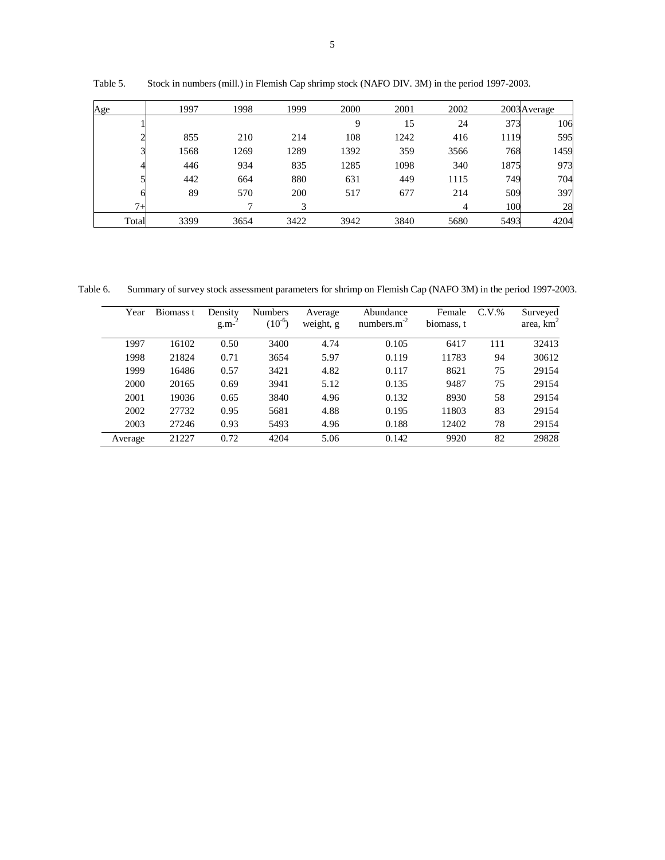| Age   | 1997 | 1998 | 1999 | 2000 | 2001 | 2002           |      | 2003 Average |
|-------|------|------|------|------|------|----------------|------|--------------|
|       |      |      |      | 9    | 15   | 24             | 373  | 106          |
|       | 855  | 210  | 214  | 108  | 1242 | 416            | 1119 | 595          |
|       | 1568 | 1269 | 1289 | 1392 | 359  | 3566           | 768  | 1459         |
|       | 446  | 934  | 835  | 1285 | 1098 | 340            | 1875 | 973          |
|       | 442  | 664  | 880  | 631  | 449  | 1115           | 749  | 704          |
|       | 89   | 570  | 200  | 517  | 677  | 214            | 509  | 397          |
| $7+$  |      | ⇁    | 3    |      |      | $\overline{4}$ | 100  | 28           |
| Total | 3399 | 3654 | 3422 | 3942 | 3840 | 5680           | 5493 | 4204         |

Table 5. Stock in numbers (mill.) in Flemish Cap shrimp stock (NAFO DIV. 3M) in the period 1997-2003.

Table 6. Summary of survey stock assessment parameters for shrimp on Flemish Cap (NAFO 3M) in the period 1997-2003.

| Year    | Biomass t | Density<br>$g.m-$ | <b>Numbers</b><br>$(10^{-6})$ | Average<br>weight, g | Abundance<br>numbers. $m-2$ | Female<br>biomass, t | $C.V.$ % | Surveyed<br>area, $\text{km}^2$ |
|---------|-----------|-------------------|-------------------------------|----------------------|-----------------------------|----------------------|----------|---------------------------------|
| 1997    | 16102     | 0.50              | 3400                          | 4.74                 | 0.105                       | 6417                 | 111      | 32413                           |
| 1998    | 21824     | 0.71              | 3654                          | 5.97                 | 0.119                       | 11783                | 94       | 30612                           |
| 1999    | 16486     | 0.57              | 3421                          | 4.82                 | 0.117                       | 8621                 | 75       | 29154                           |
| 2000    | 20165     | 0.69              | 3941                          | 5.12                 | 0.135                       | 9487                 | 75       | 29154                           |
| 2001    | 19036     | 0.65              | 3840                          | 4.96                 | 0.132                       | 8930                 | 58       | 29154                           |
| 2002    | 27732     | 0.95              | 5681                          | 4.88                 | 0.195                       | 11803                | 83       | 29154                           |
| 2003    | 27246     | 0.93              | 5493                          | 4.96                 | 0.188                       | 12402                | 78       | 29154                           |
| Average | 21227     | 0.72              | 4204                          | 5.06                 | 0.142                       | 9920                 | 82       | 29828                           |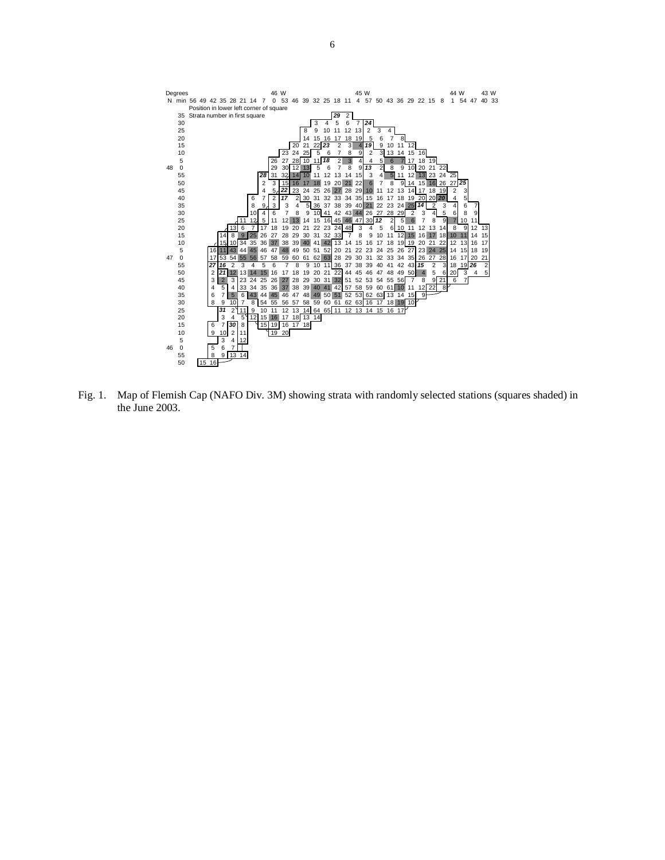

Fig. 1. Map of Flemish Cap (NAFO Div. 3M) showing strata with randomly selected stations (squares shaded) in the June 2003.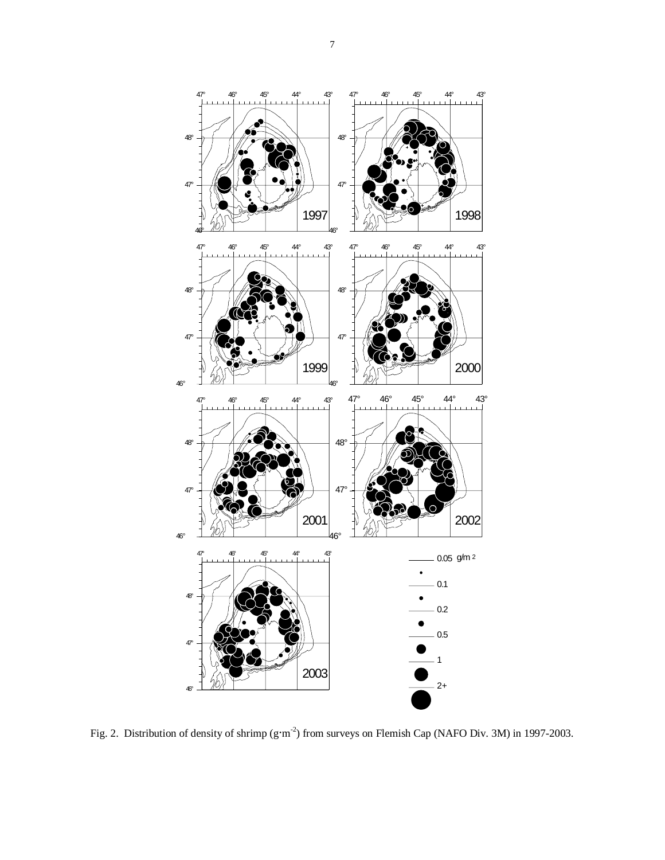

Fig. 2. Distribution of density of shrimp (g·m<sup>-2</sup>) from surveys on Flemish Cap (NAFO Div. 3M) in 1997-2003.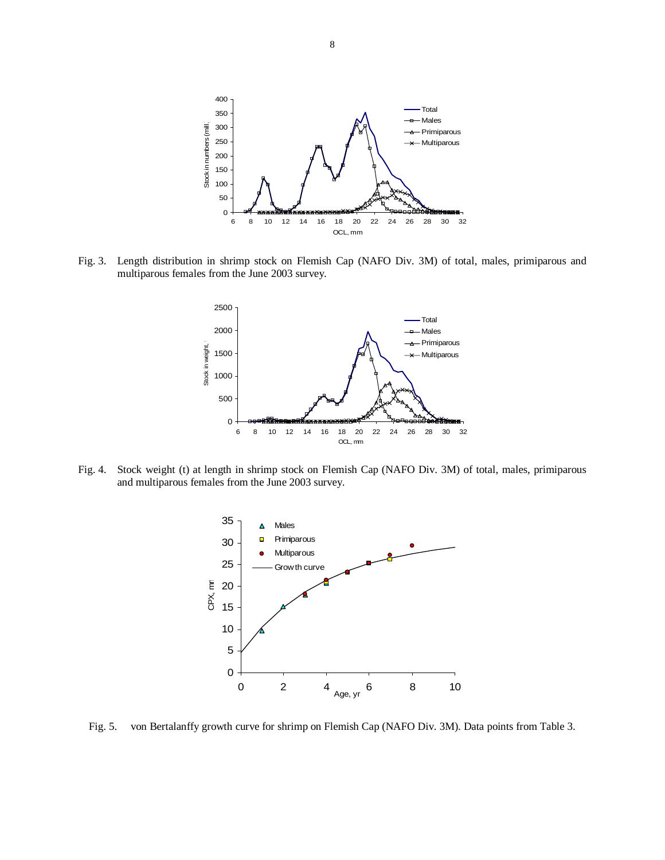

Fig. 3.Length distribution in shrimp stock on Flemish Cap (NAFO Div. 3M) of total, males, primiparous and multiparous females from the June 2003 survey.



Fig. 4. Stock weight (t) at length in shrimp stock on Flemish Cap (NAFO Div. 3M) of total, males, primiparous and multiparous females from the June 2003 survey.



Fig. 5. von Bertalanffy growth curve for shrimp on Flemish Cap (NAFO Div. 3M). Data points from Table 3.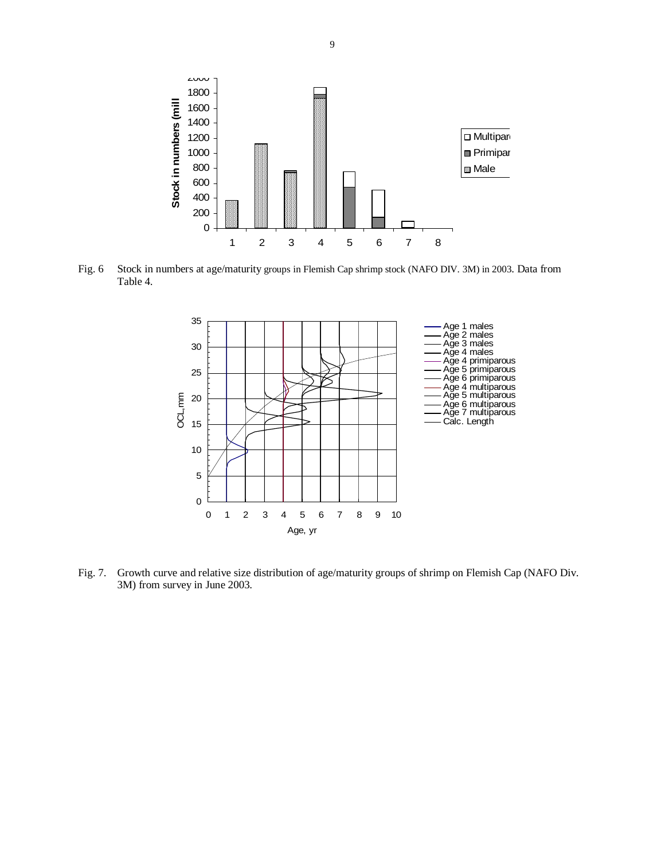

Fig. 6 Stock in numbers at age/maturity groups in Flemish Cap shrimp stock (NAFO DIV. 3M) in 2003. Data from Table 4.



Fig. 7. Growth curve and relative size distribution of age/maturity groups of shrimp on Flemish Cap (NAFO Div. 3M) from survey in June 2003.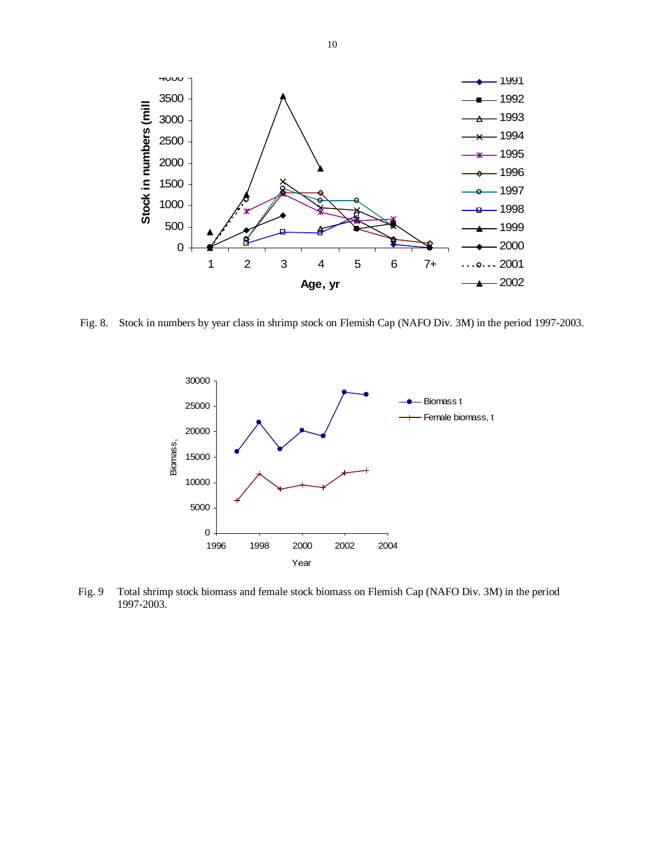

Fig. 8. Stock in numbers by year class in shrimp stock on Flemish Cap (NAFO Div. 3M) in the period 1997-2003.



Fig. 9 Total shrimp stock biomass and female stock biomass on Flemish Cap (NAFO Div. 3M) in the period 1997-2003.